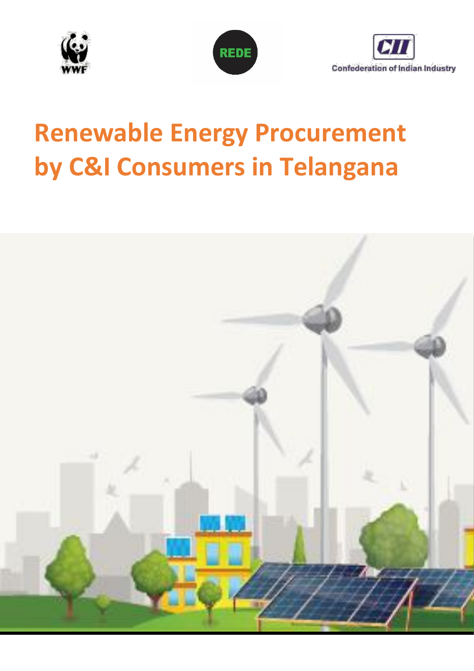





# **Renewable Energy Procurement by C&I Consumers in Telangana**

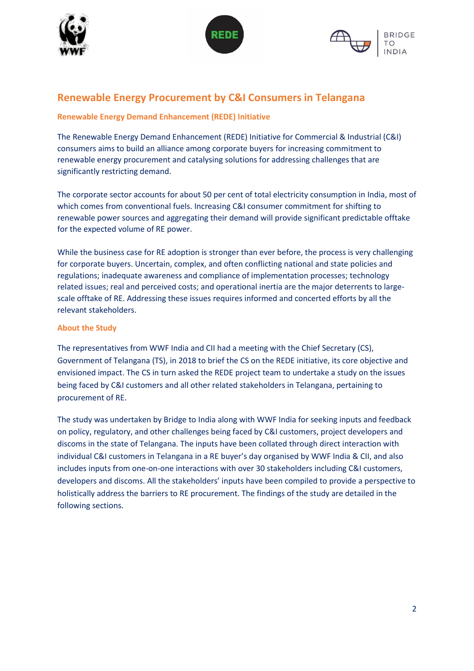





## **Renewable Energy Procurement by C&I Consumers in Telangana**

## **Renewable Energy Demand Enhancement (REDE) Initiative**

The Renewable Energy Demand Enhancement (REDE) Initiative for Commercial & Industrial (C&I) consumers aims to build an alliance among corporate buyers for increasing commitment to renewable energy procurement and catalysing solutions for addressing challenges that are significantly restricting demand.

The corporate sector accounts for about 50 per cent of total electricity consumption in India, most of which comes from conventional fuels. Increasing C&I consumer commitment for shifting to renewable power sources and aggregating their demand will provide significant predictable offtake for the expected volume of RE power.

While the business case for RE adoption is stronger than ever before, the process is very challenging for corporate buyers. Uncertain, complex, and often conflicting national and state policies and regulations; inadequate awareness and compliance of implementation processes; technology related issues; real and perceived costs; and operational inertia are the major deterrents to largescale offtake of RE. Addressing these issues requires informed and concerted efforts by all the relevant stakeholders.

## **About the Study**

The representatives from WWF India and CII had a meeting with the Chief Secretary (CS), Government of Telangana (TS), in 2018 to brief the CS on the REDE initiative, its core objective and envisioned impact. The CS in turn asked the REDE project team to undertake a study on the issues being faced by C&I customers and all other related stakeholders in Telangana, pertaining to procurement of RE.

The study was undertaken by Bridge to India along with WWF India for seeking inputs and feedback on policy, regulatory, and other challenges being faced by C&I customers, project developers and discoms in the state of Telangana. The inputs have been collated through direct interaction with individual C&I customers in Telangana in a RE buyer's day organised by WWF India & CII, and also includes inputs from one-on-one interactions with over 30 stakeholders including C&I customers, developers and discoms. All the stakeholders' inputs have been compiled to provide a perspective to holistically address the barriers to RE procurement. The findings of the study are detailed in the following sections.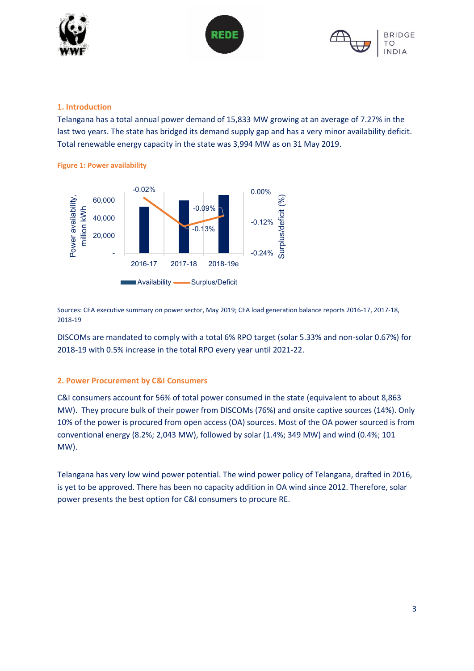





## **1. Introduction**

Telangana has a total annual power demand of 15,833 MW growing at an average of 7.27% in the last two years. The state has bridged its demand supply gap and has a very minor availability deficit. Total renewable energy capacity in the state was 3,994 MW as on 31 May 2019.





Sources: CEA executive summary on power sector, May 2019; CEA load generation balance reports 2016-17, 2017-18, 2018-19

DISCOMs are mandated to comply with a total 6% RPO target (solar 5.33% and non-solar 0.67%) for 2018-19 with 0.5% increase in the total RPO every year until 2021-22.

## **2. Power Procurement by C&I Consumers**

C&I consumers account for 56% of total power consumed in the state (equivalent to about 8,863 MW). They procure bulk of their power from DISCOMs (76%) and onsite captive sources (14%). Only 10% of the power is procured from open access (OA) sources. Most of the OA power sourced is from conventional energy (8.2%; 2,043 MW), followed by solar (1.4%; 349 MW) and wind (0.4%; 101 MW).

Telangana has very low wind power potential. The wind power policy of Telangana, drafted in 2016, is yet to be approved. There has been no capacity addition in OA wind since 2012. Therefore, solar power presents the best option for C&I consumers to procure RE.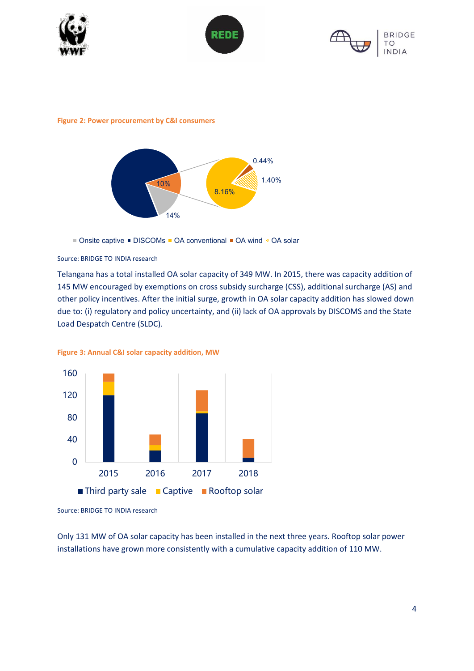





#### **Figure 2: Power procurement by C&I consumers**



■ Onsite captive ■ DISCOMs ■ OA conventional ■ OA wind » OA solar

Source: BRIDGE TO INDIA research

Telangana has a total installed OA solar capacity of 349 MW. In 2015, there was capacity addition of 145 MW encouraged by exemptions on cross subsidy surcharge (CSS), additional surcharge (AS) and other policy incentives. After the initial surge, growth in OA solar capacity addition has slowed down due to: (i) regulatory and policy uncertainty, and (ii) lack of OA approvals by DISCOMS and the State Load Despatch Centre (SLDC).





Source: BRIDGE TO INDIA research

Only 131 MW of OA solar capacity has been installed in the next three years. Rooftop solar power installations have grown more consistently with a cumulative capacity addition of 110 MW.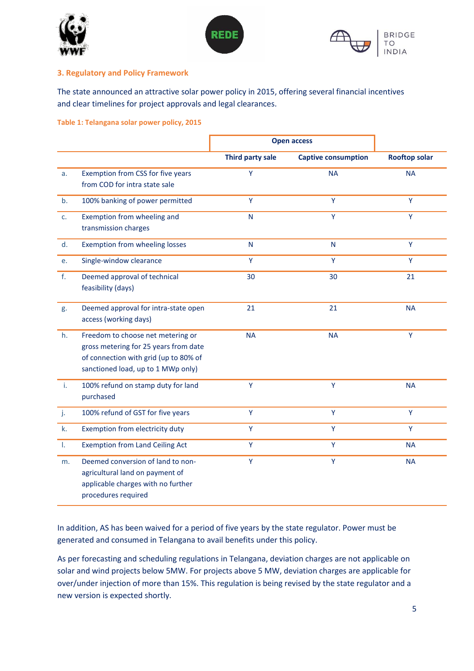





## **3. Regulatory and Policy Framework**

The state announced an attractive solar power policy in 2015, offering several financial incentives and clear timelines for project approvals and legal clearances.

**Table 1: Telangana solar power policy, 2015**

|    |                                                                                                                                                           | <b>Open access</b> |                            |                      |
|----|-----------------------------------------------------------------------------------------------------------------------------------------------------------|--------------------|----------------------------|----------------------|
|    |                                                                                                                                                           | Third party sale   | <b>Captive consumption</b> | <b>Rooftop solar</b> |
| a. | Exemption from CSS for five years<br>from COD for intra state sale                                                                                        | Ÿ                  | <b>NA</b>                  | <b>NA</b>            |
| b. | 100% banking of power permitted                                                                                                                           | Y                  | Y                          | Y                    |
| c. | Exemption from wheeling and<br>transmission charges                                                                                                       | N                  | Ÿ                          | Ÿ                    |
| d. | Exemption from wheeling losses                                                                                                                            | $\mathsf{N}$       | $\mathsf{N}$               | Y                    |
| e. | Single-window clearance                                                                                                                                   | Ÿ                  | Ÿ                          | Ÿ                    |
| f. | Deemed approval of technical<br>feasibility (days)                                                                                                        | 30                 | 30                         | 21                   |
| g. | Deemed approval for intra-state open<br>access (working days)                                                                                             | 21                 | 21                         | <b>NA</b>            |
| h. | Freedom to choose net metering or<br>gross metering for 25 years from date<br>of connection with grid (up to 80% of<br>sanctioned load, up to 1 MWp only) | <b>NA</b>          | <b>NA</b>                  | Y                    |
| i. | 100% refund on stamp duty for land<br>purchased                                                                                                           | Y                  | Y                          | <b>NA</b>            |
| j. | 100% refund of GST for five years                                                                                                                         | Y                  | Y                          | Y                    |
| k. | Exemption from electricity duty                                                                                                                           | Ÿ                  | Ÿ                          | Ÿ                    |
| T. | <b>Exemption from Land Ceiling Act</b>                                                                                                                    | Ÿ                  | Ÿ                          | <b>NA</b>            |
| m. | Deemed conversion of land to non-<br>agricultural land on payment of<br>applicable charges with no further<br>procedures required                         | Ÿ                  | Ÿ                          | <b>NA</b>            |

In addition, AS has been waived for a period of five years by the state regulator. Power must be generated and consumed in Telangana to avail benefits under this policy.

As per forecasting and scheduling regulations in Telangana, deviation charges are not applicable on solar and wind projects below 5MW. For projects above 5 MW, deviation charges are applicable for over/under injection of more than 15%. This regulation is being revised by the state regulator and a new version is expected shortly.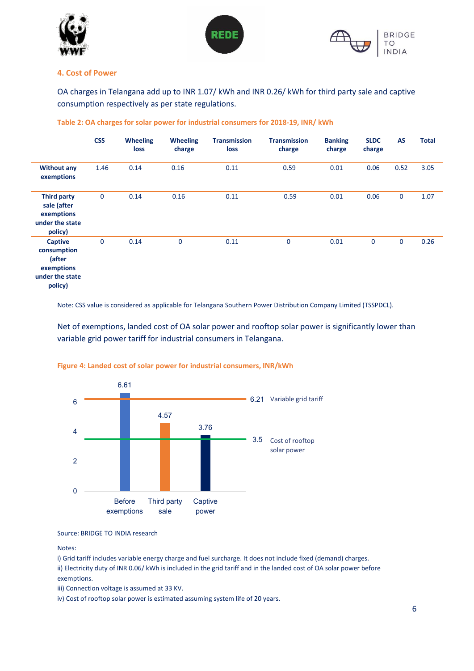



#### **4. Cost of Power**

OA charges in Telangana add up to INR 1.07/ kWh and INR 0.26/ kWh for third party sale and captive consumption respectively as per state regulations.

|                                                                                     | <b>CSS</b>  | <b>Wheeling</b><br>loss | <b>Wheeling</b><br>charge | <b>Transmission</b><br>loss | <b>Transmission</b><br>charge | <b>Banking</b><br>charge | <b>SLDC</b><br>charge | <b>AS</b>    | <b>Total</b> |
|-------------------------------------------------------------------------------------|-------------|-------------------------|---------------------------|-----------------------------|-------------------------------|--------------------------|-----------------------|--------------|--------------|
| <b>Without any</b><br>exemptions                                                    | 1.46        | 0.14                    | 0.16                      | 0.11                        | 0.59                          | 0.01                     | 0.06                  | 0.52         | 3.05         |
| <b>Third party</b><br>sale (after<br>exemptions<br>under the state<br>policy)       | $\mathbf 0$ | 0.14                    | 0.16                      | 0.11                        | 0.59                          | 0.01                     | 0.06                  | $\mathbf{0}$ | 1.07         |
| <b>Captive</b><br>consumption<br>(after<br>exemptions<br>under the state<br>policy) | $\mathbf 0$ | 0.14                    | $\mathbf 0$               | 0.11                        | $\mathbf 0$                   | 0.01                     | $\mathbf 0$           | 0            | 0.26         |

#### **Table 2: OA charges for solar power for industrial consumers for 2018-19, INR/ kWh**

Note: CSS value is considered as applicable for Telangana Southern Power Distribution Company Limited (TSSPDCL).

Net of exemptions, landed cost of OA solar power and rooftop solar power is significantly lower than variable grid power tariff for industrial consumers in Telangana.



#### **Figure 4: Landed cost of solar power for industrial consumers, INR/kWh**

Source: BRIDGE TO INDIA research

Notes:

i) Grid tariff includes variable energy charge and fuel surcharge. It does not include fixed (demand) charges. ii) Electricity duty of INR 0.06/ kWh is included in the grid tariff and in the landed cost of OA solar power before exemptions.

iii) Connection voltage is assumed at 33 KV.

iv) Cost of rooftop solar power is estimated assuming system life of 20 years.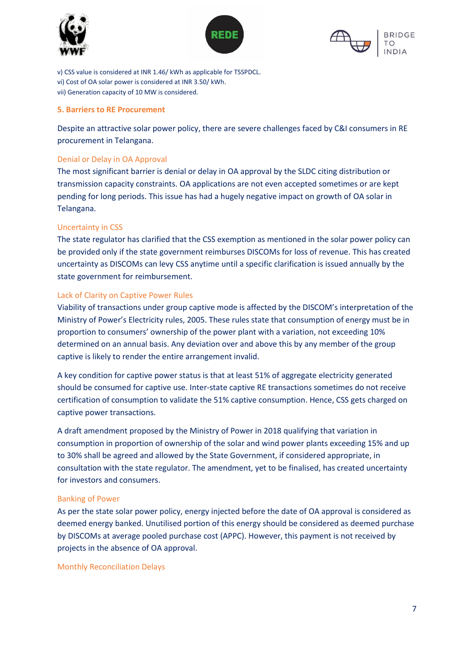





v) CSS value is considered at INR 1.46/ kWh as applicable for TSSPDCL. vi) Cost of OA solar power is considered at INR 3.50/ kWh. vii) Generation capacity of 10 MW is considered.

## **5. Barriers to RE Procurement**

Despite an attractive solar power policy, there are severe challenges faced by C&I consumers in RE procurement in Telangana.

## Denial or Delay in OA Approval

The most significant barrier is denial or delay in OA approval by the SLDC citing distribution or transmission capacity constraints. OA applications are not even accepted sometimes or are kept pending for long periods. This issue has had a hugely negative impact on growth of OA solar in Telangana.

## Uncertainty in CSS

The state regulator has clarified that the CSS exemption as mentioned in the solar power policy can be provided only if the state government reimburses DISCOMs for loss of revenue. This has created uncertainty as DISCOMs can levy CSS anytime until a specific clarification is issued annually by the state government for reimbursement.

## Lack of Clarity on Captive Power Rules

Viability of transactions under group captive mode is affected by the DISCOM's interpretation of the Ministry of Power's Electricity rules, 2005. These rules state that consumption of energy must be in proportion to consumers' ownership of the power plant with a variation, not exceeding 10% determined on an annual basis. Any deviation over and above this by any member of the group captive is likely to render the entire arrangement invalid.

A key condition for captive power status is that at least 51% of aggregate electricity generated should be consumed for captive use. Inter-state captive RE transactions sometimes do not receive certification of consumption to validate the 51% captive consumption. Hence, CSS gets charged on captive power transactions.

A draft amendment proposed by the Ministry of Power in 2018 qualifying that variation in consumption in proportion of ownership of the solar and wind power plants exceeding 15% and up to 30% shall be agreed and allowed by the State Government, if considered appropriate, in consultation with the state regulator. The amendment, yet to be finalised, has created uncertainty for investors and consumers.

## Banking of Power

As per the state solar power policy, energy injected before the date of OA approval is considered as deemed energy banked. Unutilised portion of this energy should be considered as deemed purchase by DISCOMs at average pooled purchase cost (APPC). However, this payment is not received by projects in the absence of OA approval.

Monthly Reconciliation Delays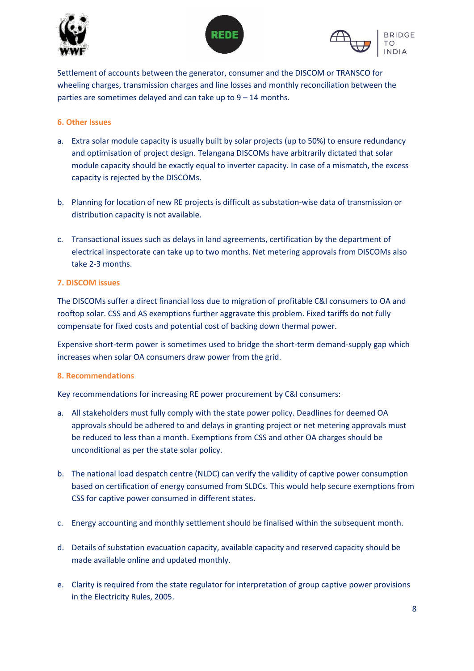





Settlement of accounts between the generator, consumer and the DISCOM or TRANSCO for wheeling charges, transmission charges and line losses and monthly reconciliation between the parties are sometimes delayed and can take up to  $9 - 14$  months.

## **6. Other Issues**

- a. Extra solar module capacity is usually built by solar projects (up to 50%) to ensure redundancy and optimisation of project design. Telangana DISCOMs have arbitrarily dictated that solar module capacity should be exactly equal to inverter capacity. In case of a mismatch, the excess capacity is rejected by the DISCOMs.
- b. Planning for location of new RE projects is difficult as substation-wise data of transmission or distribution capacity is not available.
- c. Transactional issues such as delays in land agreements, certification by the department of electrical inspectorate can take up to two months. Net metering approvals from DISCOMs also take 2-3 months.

## **7. DISCOM issues**

The DISCOMs suffer a direct financial loss due to migration of profitable C&I consumers to OA and rooftop solar. CSS and AS exemptions further aggravate this problem. Fixed tariffs do not fully compensate for fixed costs and potential cost of backing down thermal power.

Expensive short-term power is sometimes used to bridge the short-term demand-supply gap which increases when solar OA consumers draw power from the grid.

## **8. Recommendations**

Key recommendations for increasing RE power procurement by C&I consumers:

- a. All stakeholders must fully comply with the state power policy. Deadlines for deemed OA approvals should be adhered to and delays in granting project or net metering approvals must be reduced to less than a month. Exemptions from CSS and other OA charges should be unconditional as per the state solar policy.
- b. The national load despatch centre (NLDC) can verify the validity of captive power consumption based on certification of energy consumed from SLDCs. This would help secure exemptions from CSS for captive power consumed in different states.
- c. Energy accounting and monthly settlement should be finalised within the subsequent month.
- d. Details of substation evacuation capacity, available capacity and reserved capacity should be made available online and updated monthly.
- e. Clarity is required from the state regulator for interpretation of group captive power provisions in the Electricity Rules, 2005.